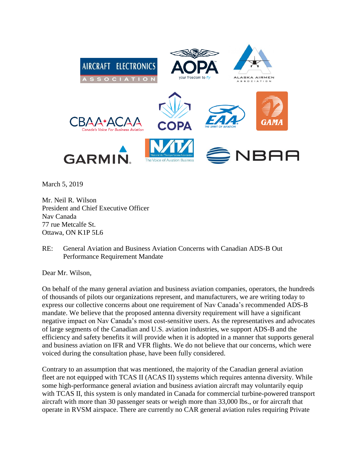

March 5, 2019

Mr. Neil R. Wilson President and Chief Executive Officer Nav Canada 77 rue Metcalfe St. Ottawa, ON K1P 5L6

RE: General Aviation and Business Aviation Concerns with Canadian ADS-B Out Performance Requirement Mandate

Dear Mr. Wilson,

On behalf of the many general aviation and business aviation companies, operators, the hundreds of thousands of pilots our organizations represent, and manufacturers, we are writing today to express our collective concerns about one requirement of Nav Canada's recommended ADS-B mandate. We believe that the proposed antenna diversity requirement will have a significant negative impact on Nav Canada's most cost-sensitive users. As the representatives and advocates of large segments of the Canadian and U.S. aviation industries, we support ADS-B and the efficiency and safety benefits it will provide when it is adopted in a manner that supports general and business aviation on IFR and VFR flights. We do not believe that our concerns, which were voiced during the consultation phase, have been fully considered.

Contrary to an assumption that was mentioned, the majority of the Canadian general aviation fleet are not equipped with TCAS II (ACAS II) systems which requires antenna diversity. While some high-performance general aviation and business aviation aircraft may voluntarily equip with TCAS II, this system is only mandated in Canada for commercial turbine-powered transport aircraft with more than 30 passenger seats or weigh more than 33,000 lbs., or for aircraft that operate in RVSM airspace. There are currently no CAR general aviation rules requiring Private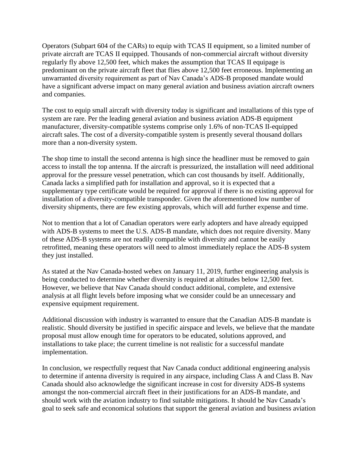Operators (Subpart 604 of the CARs) to equip with TCAS II equipment, so a limited number of private aircraft are TCAS II equipped. Thousands of non-commercial aircraft without diversity regularly fly above 12,500 feet, which makes the assumption that TCAS II equipage is predominant on the private aircraft fleet that flies above 12,500 feet erroneous. Implementing an unwarranted diversity requirement as part of Nav Canada's ADS-B proposed mandate would have a significant adverse impact on many general aviation and business aviation aircraft owners and companies.

The cost to equip small aircraft with diversity today is significant and installations of this type of system are rare. Per the leading general aviation and business aviation ADS-B equipment manufacturer, diversity-compatible systems comprise only 1.6% of non-TCAS II-equipped aircraft sales. The cost of a diversity-compatible system is presently several thousand dollars more than a non-diversity system.

The shop time to install the second antenna is high since the headliner must be removed to gain access to install the top antenna. If the aircraft is pressurized, the installation will need additional approval for the pressure vessel penetration, which can cost thousands by itself. Additionally, Canada lacks a simplified path for installation and approval, so it is expected that a supplementary type certificate would be required for approval if there is no existing approval for installation of a diversity-compatible transponder. Given the aforementioned low number of diversity shipments, there are few existing approvals, which will add further expense and time.

Not to mention that a lot of Canadian operators were early adopters and have already equipped with ADS-B systems to meet the U.S. ADS-B mandate, which does not require diversity. Many of these ADS-B systems are not readily compatible with diversity and cannot be easily retrofitted, meaning these operators will need to almost immediately replace the ADS-B system they just installed.

As stated at the Nav Canada-hosted webex on January 11, 2019, further engineering analysis is being conducted to determine whether diversity is required at altitudes below 12,500 feet. However, we believe that Nav Canada should conduct additional, complete, and extensive analysis at all flight levels before imposing what we consider could be an unnecessary and expensive equipment requirement.

Additional discussion with industry is warranted to ensure that the Canadian ADS-B mandate is realistic. Should diversity be justified in specific airspace and levels, we believe that the mandate proposal must allow enough time for operators to be educated, solutions approved, and installations to take place; the current timeline is not realistic for a successful mandate implementation.

In conclusion, we respectfully request that Nav Canada conduct additional engineering analysis to determine if antenna diversity is required in any airspace, including Class A and Class B. Nav Canada should also acknowledge the significant increase in cost for diversity ADS-B systems amongst the non-commercial aircraft fleet in their justifications for an ADS-B mandate, and should work with the aviation industry to find suitable mitigations. It should be Nav Canada's goal to seek safe and economical solutions that support the general aviation and business aviation